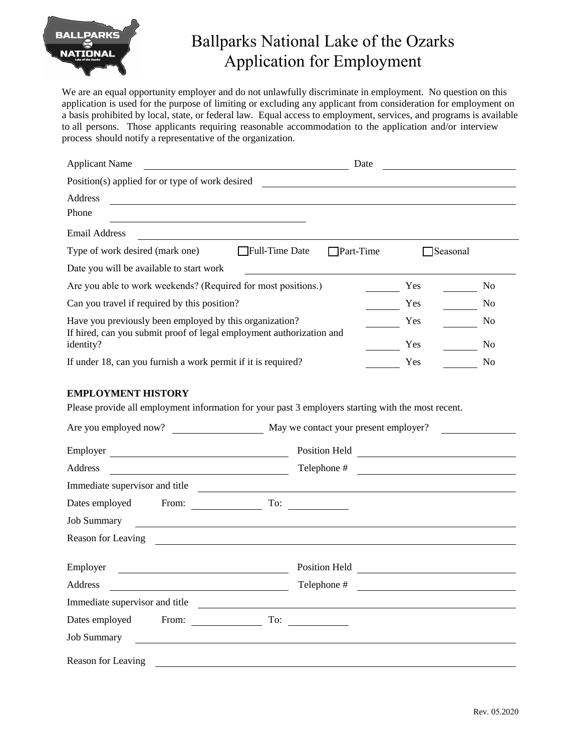

## Ballparks National Lake of the Ozarks Application for Employment

We are an equal opportunity employer and do not unlawfully discriminate in employment. No question on this application is used for the purpose of limiting or excluding any applicant from consideration for employment on a basis prohibited by local, state, or federal law. Equal access to employment, services, and programs is available to all persons. Those applicants requiring reasonable accommodation to the application and/or interview process should notify a representative of the organization.

| <b>Applicant Name</b>                                                                                                           |                | Date      |          |    |  |
|---------------------------------------------------------------------------------------------------------------------------------|----------------|-----------|----------|----|--|
| Position(s) applied for or type of work desired                                                                                 |                |           |          |    |  |
| Address                                                                                                                         |                |           |          |    |  |
| Phone                                                                                                                           |                |           |          |    |  |
| <b>Email Address</b>                                                                                                            |                |           |          |    |  |
| Type of work desired (mark one)                                                                                                 | Full-Time Date | Part-Time | Seasonal |    |  |
| Date you will be available to start work                                                                                        |                |           |          |    |  |
| Are you able to work weekends? (Required for most positions.)                                                                   |                | Yes       | No       |    |  |
| Can you travel if required by this position?                                                                                    |                | Yes       | No       |    |  |
| Have you previously been employed by this organization?<br>If hired, can you submit proof of legal employment authorization and |                | Yes       | No       |    |  |
| identity?                                                                                                                       |                |           | Yes      | No |  |
| If under 18, can you furnish a work permit if it is required?                                                                   |                | Yes       | No       |    |  |

## **EMPLOYMENT HISTORY**

Please provide all employment information for your past 3 employers starting with the most recent.

| Are you employed now?          | May we contact your present employer?                                                                                                  |  |
|--------------------------------|----------------------------------------------------------------------------------------------------------------------------------------|--|
| Employer                       |                                                                                                                                        |  |
| Address                        | Telephone #                                                                                                                            |  |
| Immediate supervisor and title | <u> 1989 - Johann Stoff, deutscher Stoff, der Stoff, der Stoff, der Stoff, der Stoff, der Stoff, der Stoff, der S</u>                  |  |
|                                |                                                                                                                                        |  |
| <b>Job Summary</b>             | <u> 1989 - Andrea Station Barbara, amerikan personal (h. 1989).</u>                                                                    |  |
|                                | Reason for Leaving Theorem 2014                                                                                                        |  |
| Employer                       | Position Held<br><u> 1989 - Jan Sterlinger van die Sterlinge van die Sterlinge van die Sterlinge van die Sterlinge van die Sterlin</u> |  |
| Address                        | Telephone #<br><u> 1989 - Andrea Station Books, amerikansk politik (</u>                                                               |  |
| Immediate supervisor and title |                                                                                                                                        |  |
| Dates employed From:           | $\Gamma$ o: $\qquad \qquad$                                                                                                            |  |
| <b>Job Summary</b>             |                                                                                                                                        |  |
| Reason for Leaving             |                                                                                                                                        |  |